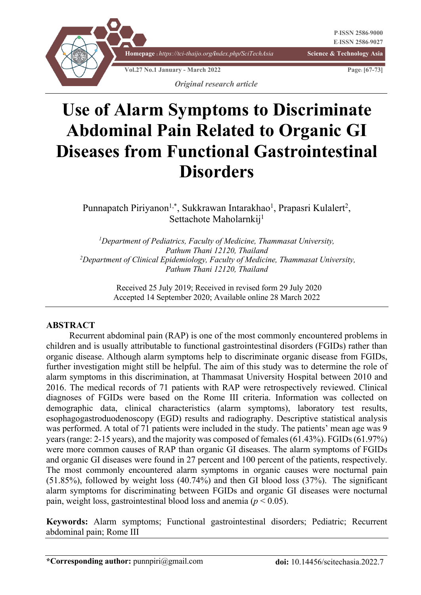

# **Use of Alarm Symptoms to Discriminate Abdominal Pain Related to Organic GI Diseases from Functional Gastrointestinal Disorders**

Punnapatch Piriyanon<sup>1,\*</sup>, Sukkrawan Intarakhao<sup>1</sup>, Prapasri Kulalert<sup>2</sup>, Settachote Maholarnkij<sup>1</sup>

*1 Department of Pediatrics, Faculty of Medicine, Thammasat University, Pathum Thani 12120, Thailand 2 Department of Clinical Epidemiology, Faculty of Medicine, Thammasat University, Pathum Thani 12120, Thailand*

> Received 25 July 2019; Received in revised form 29 July 2020 Accepted 14 September 2020; Available online 28 March 2022

#### **ABSTRACT**

Recurrent abdominal pain (RAP) is one of the most commonly encountered problems in children and is usually attributable to functional gastrointestinal disorders (FGIDs) rather than organic disease. Although alarm symptoms help to discriminate organic disease from FGIDs, further investigation might still be helpful. The aim of this study was to determine the role of alarm symptoms in this discrimination, at Thammasat University Hospital between 2010 and 2016. The medical records of 71 patients with RAP were retrospectively reviewed. Clinical diagnoses of FGIDs were based on the Rome III criteria. Information was collected on demographic data, clinical characteristics (alarm symptoms), laboratory test results, esophagogastroduodenoscopy (EGD) results and radiography. Descriptive statistical analysis was performed. A total of 71 patients were included in the study. The patients' mean age was 9 years (range: 2-15 years), and the majority was composed of females (61.43%). FGIDs (61.97%) were more common causes of RAP than organic GI diseases. The alarm symptoms of FGIDs and organic GI diseases were found in 27 percent and 100 percent of the patients, respectively. The most commonly encountered alarm symptoms in organic causes were nocturnal pain (51.85%), followed by weight loss (40.74%) and then GI blood loss (37%). The significant alarm symptoms for discriminating between FGIDs and organic GI diseases were nocturnal pain, weight loss, gastrointestinal blood loss and anemia (*p* < 0.05).

**Keywords:** Alarm symptoms; Functional gastrointestinal disorders; Pediatric; Recurrent abdominal pain; Rome III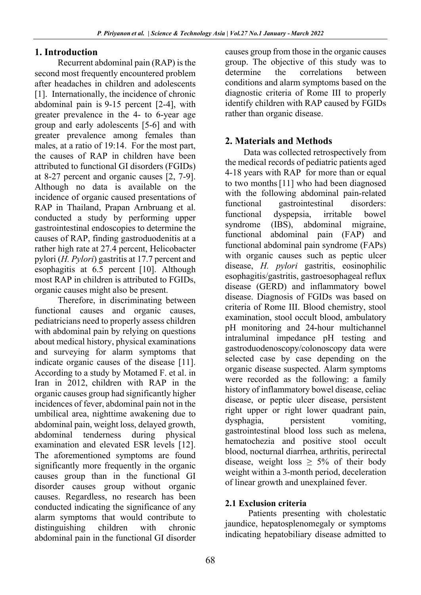## **1. Introduction**

Recurrent abdominal pain (RAP) is the second most frequently encountered problem after headaches in children and adolescents [1]. Internationally, the incidence of chronic abdominal pain is 9-15 percent [2-4], with greater prevalence in the 4- to 6-year age group and early adolescents [5-6] and with greater prevalence among females than males, at a ratio of 19:14. For the most part, the causes of RAP in children have been attributed to functional GI disorders (FGIDs) at 8-27 percent and organic causes [2, 7-9]. Although no data is available on the incidence of organic caused presentations of RAP in Thailand, Prapan Arnbruang et al. conducted a study by performing upper gastrointestinal endoscopies to determine the causes of RAP, finding gastroduodenitis at a rather high rate at 27.4 percent, Helicobacter pylori (*H. Pylori*) gastritis at 17.7 percent and esophagitis at 6.5 percent [10]. Although most RAP in children is attributed to FGIDs, organic causes might also be present.

Therefore, in discriminating between functional causes and organic causes, pediatricians need to properly assess children with abdominal pain by relying on questions about medical history, physical examinations and surveying for alarm symptoms that indicate organic causes of the disease [11]. According to a study by Motamed F. et al. in Iran in 2012, children with RAP in the organic causes group had significantly higher incidences of fever, abdominal pain not in the umbilical area, nighttime awakening due to abdominal pain, weight loss, delayed growth, abdominal tenderness during physical examination and elevated ESR levels [12]. The aforementioned symptoms are found significantly more frequently in the organic causes group than in the functional GI disorder causes group without organic causes. Regardless, no research has been conducted indicating the significance of any alarm symptoms that would contribute to distinguishing children with chronic abdominal pain in the functional GI disorder

causes group from those in the organic causes group. The objective of this study was to determine the correlations between conditions and alarm symptoms based on the diagnostic criteria of Rome III to properly identify children with RAP caused by FGIDs rather than organic disease.

# **2. Materials and Methods**

Data was collected retrospectively from the medical records of pediatric patients aged 4-18 years with RAP for more than or equal to two months[11] who had been diagnosed with the following abdominal pain-related functional gastrointestinal disorders: functional dyspepsia, irritable bowel syndrome (IBS), abdominal migraine, functional abdominal pain (FAP) and functional abdominal pain syndrome (FAPs) with organic causes such as peptic ulcer disease, *H. pylori* gastritis, eosinophilic esophagitis/gastritis, gastroesophageal reflux disease (GERD) and inflammatory bowel disease. Diagnosis of FGIDs was based on criteria of Rome III. Blood chemistry, stool examination, stool occult blood, ambulatory pH monitoring and 24-hour multichannel intraluminal impedance pH testing and gastroduodenoscopy/colonoscopy data were selected case by case depending on the organic disease suspected. Alarm symptoms were recorded as the following: a family history of inflammatory bowel disease, celiac disease, or peptic ulcer disease, persistent right upper or right lower quadrant pain, dysphagia, persistent vomiting, gastrointestinal blood loss such as melena, hematochezia and positive stool occult blood, nocturnal diarrhea, arthritis, perirectal disease, weight loss  $\geq 5\%$  of their body weight within a 3-month period, deceleration of linear growth and unexplained fever.

# **2.1 Exclusion criteria**

Patients presenting with cholestatic jaundice, hepatosplenomegaly or symptoms indicating hepatobiliary disease admitted to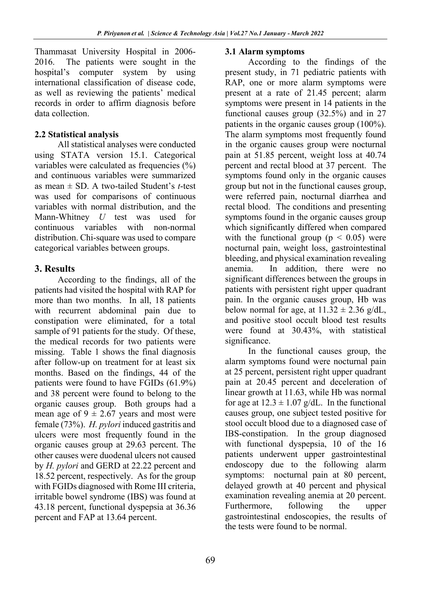Thammasat University Hospital in 2006- 2016. The patients were sought in the hospital's computer system by using international classification of disease code, as well as reviewing the patients' medical records in order to affirm diagnosis before data collection.

#### **2.2 Statistical analysis**

All statistical analyses were conducted using STATA version 15.1. Categorical variables were calculated as frequencies (%) and continuous variables were summarized as mean ± SD. A two-tailed Student's *t*-test was used for comparisons of continuous variables with normal distribution, and the Mann-Whitney *U* test was used for continuous variables with non-normal distribution. Chi-square was used to compare categorical variables between groups.

## **3. Results**

According to the findings, all of the patients had visited the hospital with RAP for more than two months. In all, 18 patients with recurrent abdominal pain due to constipation were eliminated, for a total sample of 91 patients for the study. Of these, the medical records for two patients were missing. Table 1 shows the final diagnosis after follow-up on treatment for at least six months. Based on the findings, 44 of the patients were found to have FGIDs (61.9%) and 38 percent were found to belong to the organic causes group. Both groups had a mean age of  $9 \pm 2.67$  years and most were female (73%). *H. pylori* induced gastritis and ulcers were most frequently found in the organic causes group at 29.63 percent. The other causes were duodenal ulcers not caused by *H. pylori* and GERD at 22.22 percent and 18.52 percent, respectively. As for the group with FGIDs diagnosed with Rome III criteria, irritable bowel syndrome (IBS) was found at 43.18 percent, functional dyspepsia at 36.36 percent and FAP at 13.64 percent.

#### **3.1 Alarm symptoms**

According to the findings of the present study, in 71 pediatric patients with RAP, one or more alarm symptoms were present at a rate of 21.45 percent; alarm symptoms were present in 14 patients in the functional causes group (32.5%) and in 27 patients in the organic causes group (100%). The alarm symptoms most frequently found in the organic causes group were nocturnal pain at 51.85 percent, weight loss at 40.74 percent and rectal blood at 37 percent. The symptoms found only in the organic causes group but not in the functional causes group, were referred pain, nocturnal diarrhea and rectal blood. The conditions and presenting symptoms found in the organic causes group which significantly differed when compared with the functional group ( $p < 0.05$ ) were nocturnal pain, weight loss, gastrointestinal bleeding, and physical examination revealing anemia. In addition, there were no significant differences between the groups in patients with persistent right upper quadrant pain. In the organic causes group, Hb was below normal for age, at  $11.32 \pm 2.36$  g/dL, and positive stool occult blood test results were found at 30.43%, with statistical significance.

In the functional causes group, the alarm symptoms found were nocturnal pain at 25 percent, persistent right upper quadrant pain at 20.45 percent and deceleration of linear growth at 11.63, while Hb was normal for age at  $12.3 \pm 1.07$  g/dL. In the functional causes group, one subject tested positive for stool occult blood due to a diagnosed case of IBS-constipation. In the group diagnosed with functional dyspepsia, 10 of the 16 patients underwent upper gastrointestinal endoscopy due to the following alarm symptoms: nocturnal pain at 80 percent, delayed growth at 40 percent and physical examination revealing anemia at 20 percent. Furthermore, following the upper gastrointestinal endoscopies, the results of the tests were found to be normal.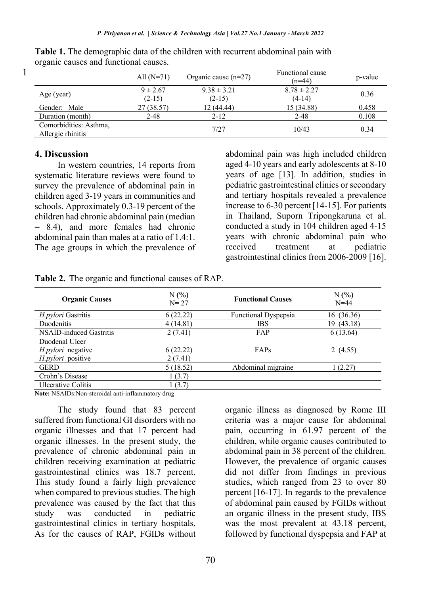|                                             | All $(N=71)$             | Organic cause $(n=27)$      | Functional cause<br>$(n=44)$ | p-value |
|---------------------------------------------|--------------------------|-----------------------------|------------------------------|---------|
| Age (year)                                  | $9 \pm 2.67$<br>$(2-15)$ | $9.38 \pm 3.21$<br>$(2-15)$ | $8.78 \pm 2.27$<br>$(4-14)$  | 0.36    |
| Gender: Male                                | 27 (38.57)               | 12 (44.44)                  | 15 (34.88)                   | 0.458   |
| Duration (month)                            | $2 - 48$                 | $2 - 12$                    | $2 - 48$                     | 0.108   |
| Comorbidities: Asthma,<br>Allergic rhinitis |                          | 7/27                        | 10/43                        | 0.34    |

**Table 1.** The demographic data of the children with recurrent abdominal pain with organic causes and functional causes.

#### **4. Discussion**

1

In western countries, 14 reports from systematic literature reviews were found to survey the prevalence of abdominal pain in children aged 3-19 years in communities and schools. Approximately 0.3-19 percent of the children had chronic abdominal pain (median = 8.4), and more females had chronic abdominal pain than males at a ratio of 1.4:1. The age groups in which the prevalence of abdominal pain was high included children aged 4-10 years and early adolescents at 8-10 years of age [13]. In addition, studies in pediatric gastrointestinal clinics or secondary and tertiary hospitals revealed a prevalence increase to 6-30 percent[14-15]. For patients in Thailand, Suporn Tripongkaruna et al. conducted a study in 104 children aged 4-15 years with chronic abdominal pain who received treatment at pediatric gastrointestinal clinics from 2006-2009 [16].

| <b>Organic Causes</b>   | N(%)<br>$N = 27$ | <b>Functional Causes</b>    | N(%)<br>$N=44$ |
|-------------------------|------------------|-----------------------------|----------------|
| H.pylori Gastritis      | 6(22.22)         | <b>Functional Dyspepsia</b> | 16 (36.36)     |
| <b>Duodenitis</b>       | 4(14.81)         | <b>IBS</b>                  | (43.18)<br>19. |
| NSAID-induced Gastritis | 2(7.41)          | FAP                         | 6(13.64)       |
| Duodenal Ulcer          |                  |                             |                |
| H.pylori negative       | 6(22.22)         | FAPs                        | 2(4.55)        |
| H.pylori positive       | 2(7.41)          |                             |                |
| <b>GERD</b>             | 5(18.52)         | Abdominal migraine          | 1 (2.27)       |
| Crohn's Disease         | 1(3.7)           |                             |                |
| Ulcerative Colitis      | 1(3.7)           |                             |                |

**Table 2.** The organic and functional causes of RAP.

**Note:** NSAIDs:Non-steroidal anti-inflammatory drug

The study found that 83 percent suffered from functional GI disorders with no organic illnesses and that 17 percent had organic illnesses. In the present study, the prevalence of chronic abdominal pain in children receiving examination at pediatric gastrointestinal clinics was 18.7 percent. This study found a fairly high prevalence when compared to previous studies. The high prevalence was caused by the fact that this study was conducted in pediatric gastrointestinal clinics in tertiary hospitals. As for the causes of RAP, FGIDs without

organic illness as diagnosed by Rome III criteria was a major cause for abdominal pain, occurring in 61.97 percent of the children, while organic causes contributed to abdominal pain in 38 percent of the children. However, the prevalence of organic causes did not differ from findings in previous studies, which ranged from 23 to over 80 percent [16-17]. In regards to the prevalence of abdominal pain caused by FGIDs without an organic illness in the present study, IBS was the most prevalent at 43.18 percent, followed by functional dyspepsia and FAP at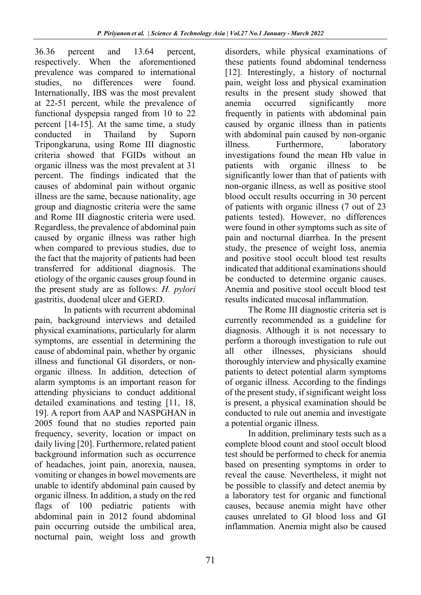36.36 percent and 13.64 percent, respectively. When the aforementioned prevalence was compared to international studies, no differences were found. Internationally, IBS was the most prevalent at 22-51 percent, while the prevalence of functional dyspepsia ranged from 10 to 22 percent [14-15]. At the same time, a study conducted in Thailand by Suporn Tripongkaruna, using Rome III diagnostic criteria showed that FGIDs without an organic illness was the most prevalent at 31 percent. The findings indicated that the causes of abdominal pain without organic illness are the same, because nationality, age group and diagnostic criteria were the same and Rome III diagnostic criteria were used. Regardless, the prevalence of abdominal pain caused by organic illness was rather high when compared to previous studies, due to the fact that the majority of patients had been transferred for additional diagnosis. The etiology of the organic causes group found in the present study are as follows: *H. pylori* gastritis, duodenal ulcer and GERD.

In patients with recurrent abdominal pain, background interviews and detailed physical examinations, particularly for alarm symptoms, are essential in determining the cause of abdominal pain, whether by organic illness and functional GI disorders, or nonorganic illness. In addition, detection of alarm symptoms is an important reason for attending physicians to conduct additional detailed examinations and testing [11, 18, 19]. A report from AAP and NASPGHAN in 2005 found that no studies reported pain frequency, severity, location or impact on daily living [20]. Furthermore, related patient background information such as occurrence of headaches, joint pain, anorexia, nausea, vomiting or changes in bowel movements are unable to identify abdominal pain caused by organic illness. In addition, a study on the red flags of 100 pediatric patients with abdominal pain in 2012 found abdominal pain occurring outside the umbilical area, nocturnal pain, weight loss and growth

disorders, while physical examinations of these patients found abdominal tenderness [12]. Interestingly, a history of nocturnal pain, weight loss and physical examination results in the present study showed that anemia occurred significantly more frequently in patients with abdominal pain caused by organic illness than in patients with abdominal pain caused by non-organic illness. Furthermore, laboratory investigations found the mean Hb value in patients with organic illness to be significantly lower than that of patients with non-organic illness, as well as positive stool blood occult results occurring in 30 percent of patients with organic illness (7 out of 23 patients tested). However, no differences were found in other symptoms such as site of pain and nocturnal diarrhea. In the present study, the presence of weight loss, anemia and positive stool occult blood test results indicated that additional examinations should be conducted to determine organic causes. Anemia and positive stool occult blood test results indicated mucosal inflammation.

The Rome III diagnostic criteria set is currently recommended as a guideline for diagnosis. Although it is not necessary to perform a thorough investigation to rule out all other illnesses, physicians should thoroughly interview and physically examine patients to detect potential alarm symptoms of organic illness. According to the findings of the present study, if significant weight loss is present, a physical examination should be conducted to rule out anemia and investigate a potential organic illness.

In addition, preliminary tests such as a complete blood count and stool occult blood test should be performed to check for anemia based on presenting symptoms in order to reveal the cause. Nevertheless, it might not be possible to classify and detect anemia by a laboratory test for organic and functional causes, because anemia might have other causes unrelated to GI blood loss and GI inflammation. Anemia might also be caused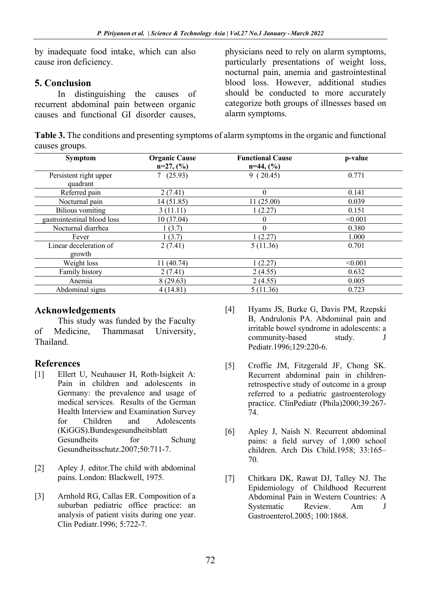by inadequate food intake, which can also cause iron deficiency.

## **5. Conclusion**

In distinguishing the causes of recurrent abdominal pain between organic causes and functional GI disorder causes,

physicians need to rely on alarm symptoms, particularly presentations of weight loss, nocturnal pain, anemia and gastrointestinal blood loss. However, additional studies should be conducted to more accurately categorize both groups of illnesses based on alarm symptoms.

**Table 3.** The conditions and presenting symptoms of alarm symptoms in the organic and functional causes groups.

| <b>Symptom</b>                   | <b>Organic Cause</b><br>$n=27, (%)$ | <b>Functional Cause</b><br>$n=44, (%)$ | p-value |
|----------------------------------|-------------------------------------|----------------------------------------|---------|
| Persistent right upper           | 7(25.93)                            | 9(20.45)                               | 0.771   |
| quadrant                         |                                     |                                        |         |
| Referred pain                    | 2(7.41)                             | $\Omega$                               | 0.141   |
| Nocturnal pain                   | 14 (51.85)                          | 11(25.00)                              | 0.039   |
| <b>Bilious</b> vomiting          | 3(11.11)                            | 1(2.27)                                | 0.151   |
| gastrointestinal blood loss      | 10(37.04)                           | $\theta$                               | < 0.001 |
| Nocturnal diarrhea               | 1(3.7)                              | 0                                      | 0.380   |
| Fever                            | 1(3.7)                              | 1(2.27)                                | 1.000   |
| Linear deceleration of<br>growth | 2(7.41)                             | 5(11.36)                               | 0.701   |
| Weight loss                      | 11 (40.74)                          | 1(2.27)                                | < 0.001 |
| Family history                   | 2(7.41)                             | 2(4.55)                                | 0.632   |
| Anemia                           | 8(29.63)                            | 2(4.55)                                | 0.005   |
| Abdominal signs                  | 4(14.81)                            | 5(11.36)                               | 0.723   |

## **Acknowledgements**

This study was funded by the Faculty of Medicine, Thammasat University, Thailand.

# **References**

- [1] Ellert U, Neuhauser H, Roth-Isigkeit A: Pain in children and adolescents in Germany: the prevalence and usage of medical services. Results of the German Health Interview and Examination Survey for Children and Adolescents (KiGGS).Bundesgesundheitsblatt Gesundheits for Schung Gesundheitsschutz.2007;50:711-7.
- [2] Apley J. editor.The child with abdominal pains. London: Blackwell, 1975.
- [3] Arnhold RG, Callas ER. Composition of a suburban pediatric office practice: an analysis of patient visits during one year. Clin Pediatr.1996; 5:722-7.
- [4] Hyams JS, Burke G, Davis PM, Rzepski B, Andrulonis PA. Abdominal pain and irritable bowel syndrome in adolescents: a community-based study. J Pediatr.1996;129:220-6.
- [5] Croffie JM, Fitzgerald JF, Chong SK. Recurrent abdominal pain in childrenretrospective study of outcome in a group referred to a pediatric gastroenterology practice. ClinPediatr (Phila)2000;39:267- 74.
- [6] Apley J, Naish N. Recurrent abdominal pains: a field survey of 1,000 school children. Arch Dis Child.1958; 33:165– 70.
- [7] Chitkara DK, Rawat DJ, Talley NJ. The Epidemiology of Childhood Recurrent Abdominal Pain in Western Countries: A Systematic Review. Am J Gastroenterol.2005; 100:1868.